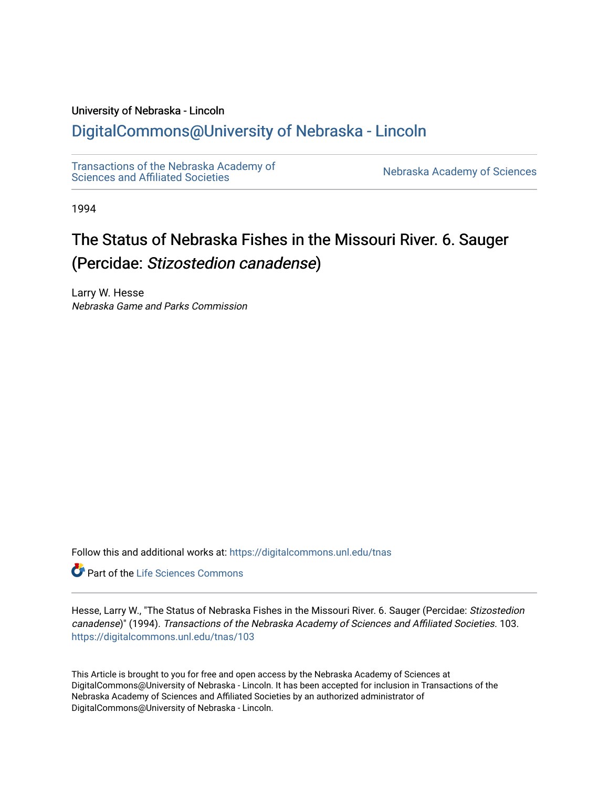# University of Nebraska - Lincoln

# [DigitalCommons@University of Nebraska - Lincoln](https://digitalcommons.unl.edu/)

[Transactions of the Nebraska Academy of](https://digitalcommons.unl.edu/tnas)  Transactions of the Nebraska Academy of Sciences<br>Sciences and Affiliated Societies

1994

# The Status of Nebraska Fishes in the Missouri River. 6. Sauger (Percidae: Stizostedion canadense)

Larry W. Hesse Nebraska Game and Parks Commission

Follow this and additional works at: [https://digitalcommons.unl.edu/tnas](https://digitalcommons.unl.edu/tnas?utm_source=digitalcommons.unl.edu%2Ftnas%2F103&utm_medium=PDF&utm_campaign=PDFCoverPages) 

**Part of the Life Sciences Commons** 

Hesse, Larry W., "The Status of Nebraska Fishes in the Missouri River. 6. Sauger (Percidae: Stizostedion canadense)" (1994). Transactions of the Nebraska Academy of Sciences and Affiliated Societies. 103. [https://digitalcommons.unl.edu/tnas/103](https://digitalcommons.unl.edu/tnas/103?utm_source=digitalcommons.unl.edu%2Ftnas%2F103&utm_medium=PDF&utm_campaign=PDFCoverPages) 

This Article is brought to you for free and open access by the Nebraska Academy of Sciences at DigitalCommons@University of Nebraska - Lincoln. It has been accepted for inclusion in Transactions of the Nebraska Academy of Sciences and Affiliated Societies by an authorized administrator of DigitalCommons@University of Nebraska - Lincoln.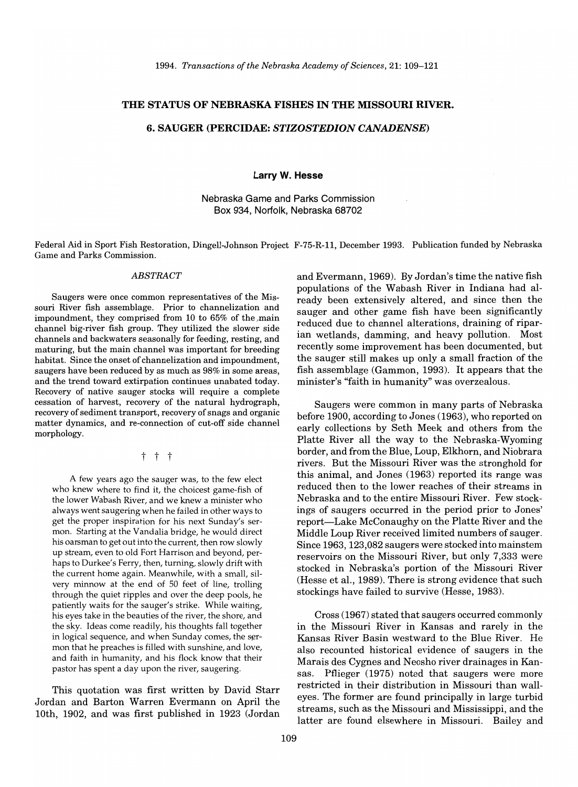*1994. Transactions of the Nebraska Academy of Sciences,* 21: 109-121

# **THE STATUS OF NEBRASKA FISHES IN THE MISSOURI RIVER.**

#### **6. SAUGER (PERCIDAE:** *STIZOSTEDION CANADENSE)*

**Larry W. Hesse** 

# Nebraska Game and Parks Commission Box 934, Norfolk, Nebraska 68702

Federal Aid in Sport Fish Restoration, Dingell-Johnson Project F-75-R-ll, December 1993. Publication funded by Nebraska Game and Parks Commission.

#### *ABSTRACT*

Saugers were once common representatives of the Missouri River fish assemblage. Prior to channelization and impoundment, they comprised from 10 to 65% of the.main channel big-river fish group. They utilized the slower side channels and backwaters seasonally for feeding, resting, and maturing, but the main channel was important for breeding habitat. Since the onset of channelization and impoundment, saugers have been reduced by as much as 98% in some areas, and the trend toward extirpation continues unabated today. Recovery of native sauger stocks will require a complete cessation of harvest, recovery of the natural hydrograph, recovery of sediment transport, recovery of snags and organic matter dynamics, and re-connection of cut-off side channel morphology.

t t t

A few years ago the sauger was, to the few elect who knew where to find it, the choicest game-fish of the lower Wabash River, and we knew a minister who always went saugering when he failed in other ways to get the proper inspiration for his next Sunday's sermon. Starting at the Vandalia bridge, he would direct his oarsman to get out into the current, then row slowly up stream, even to old Fort Harrison and beyond, perhaps to Durkee's Ferry, then, turning, slowly drift with the current home again. Meanwhile, with a small, silvery minnow at the end of 50 feet of line, trolling through the quiet ripples and over the deep pools, he patiently waits for the sauger's strike. While waiting, his eyes take in the beauties of the river, the shore, and the sky. Ideas come readily, his thoughts fall together in logical sequence, and when Sunday comes, the sermon that he preaches is filled with sunshine, and love, and faith in humanity, and his flock know that their pastor has spent a day upon the river, saugering.

This quotation was first written by David Starr Jordan and Barton Warren Evermann on April the 10th, 1902, and was first published in 1923 (Jordan and Evermann, 1969). By Jordan's time the native fish populations of the Wabash River in Indiana had already been extensively altered, and since then the sauger and other game fish have been significantly reduced due to channel alterations, draining of riparian wetlands, damming, and heavy pollution. Most recently some improvement has been documented, but the sauger still makes up only a small fraction of the fish assemblage (Gammon, 1993). It appears that the minister's "faith in humanity" was overzealous.

Saugers were common in many parts of Nebraska before 1900, according to Jones (1963), who reported on early collections by Seth Meek and others from the Platte River all the way to the Nebraska-Wyoming border, and from the Blue, Loup, Elkhorn, and Niobrara rivers. But the Missouri River was the stronghold for this animal, and Jones (1963) reported its range was reduced then to the lower reaches of their streams in Nebraska and to the entire Missouri River. Few stockings of saugers occurred in the period prior to Jones' report-Lake McConaughy on the Platte River and the Middle Loup River received limited numbers of sauger. Since 1963, 123,082 saugers were stocked into mainstem reservoirs on the Missouri River, but only 7,333 were stocked in Nebraska's portion of the Missouri River (Hesse et aI., 1989). There is strong evidence that such stockings have failed to survive (Hesse, 1983).

Cross (1967) stated that saugers occurred commonly in the Missouri River in Kansas and rarely in the Kansas River Basin westward to the Blue River. He also recounted historical evidence of saugers in the Marais des Cygnes and Neosho river drainages in Kansas. Pflieger (1975) noted that saugers were more restricted in their distribution in Missouri than walleyes. The former are found principally in large turbid streams, such as the Missouri and Mississippi, and the latter are found elsewhere in Missouri. Bailey and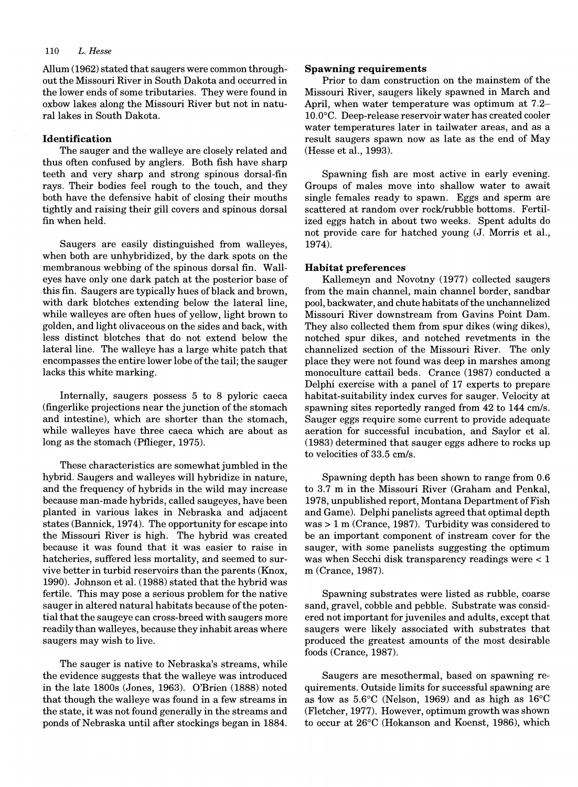# 110 L. *Hesse*

Allum (1962) stated that saugers Were common throughout the Missouri River in South Dakota and occurred in the lower ends of some tributaries. They were found in oxbow lakes along the Missouri River but not in natural lakes in South Dakota.

#### **Identification**

The sauger and the walleye are closely related and thus often confused by anglers. Both fish have sharp teeth and very sharp and strong spinous dorsal-fin rays. Their bodies feel rough to the touch, and they both have the defensive habit of closing their mouths tightly and raising their gill covers and spinous dorsal fin when held.

Saugers are easily distinguished from walleyes, when both are unhybridized, by the dark spots on the membranous webbing of the spinous dorsal fin. Walleyes have only one dark patch at the posterior base of this fin. Saugers are typically hues of black and brown, with dark blotches extending below the lateral line, while walleyes are often hues of yellow, light brown to golden, and light olivaceous on the sides and back, with less distinct blotches that do not extend below the lateral line. The walleye has a large white patch that encompasses the entire lower lobe ofthe tail; the sauger lacks this white marking.

Internally, saugers possess 5 to 8 pyloric caeca (fingerlike projections near the junction of the stomach and intestine), which are shorter than the stomach, while walleyes have three caeca which are about as long as the stomach (Pflieger, 1975).

These characteristics are somewhat jumbled in the hybrid. Saugers and walleyes will hybridize in nature, and the frequency of hybrids in the wild may increase because man~made hybrids, called saugeyes, have been planted in various lakes in Nebraska and adjacent states (Bannick, 1974). The opportunity for escape into the Missouri River is high. The hybrid was created because it was found that it was easier to raise in hatcheries, suffered less mortality, and seemed to survive better in turbid reservoirs than the parents (Knox, 1990). Johnson et aI. (1988) stated that the hybrid was fertile. This may pose a serious problem for the native sauger in altered natural habitats because of the potential that the saugeye can cross-breed with saugers more readily than walleyes, because they inhabit areas where saugers may wish to live.

The sauger is native to Nebraska's streams, while the evidence suggests that the walleye was introduced in the late 1800s (Jones, 1963). O'Brien (1888) noted that though the walleye was found in a few streams in the state, it was not found generally in the streams and ponds of Nebraska until after stockings began in 1884.

#### **Spawning requirements**

Prior to dam construction on the mainstem of the Missouri River, saugers likely spawned in March and April, when water temperature was optimum at 7.2- 10.0°C. Deep-release reservoir water has created cooler water temperatures later in tailwater areas, and as a result saugers spawn now as late as the end of May (Hesse et aI., 1993).

Spawning fish are most active in early evening. Groups of males move into shallow water to await single females ready to spawn. Eggs and sperm are scattered at random over rock/rubble bottoms. Fertilized eggs hatch in about two weeks. Spent adults do not provide care for hatched young (J. Morris et aI., 1974).

# **Habitat preferences**

Kallemeyn and Novotny (1977) collected saugers from the main channel, main channel border, sandbar pool, backwater, and chute habitats of the unchannelized Missouri River downstream from Gavins Point Dam. They also collected them from spur dikes (wing dikes), notched spur dikes, and notched revetments in the channelized section of the Missouri River. The only place they were not found was deep in marshes among monoculture cattail beds. Crance (1987) conducted a Delphi exercise with a panel of 17 experts to prepare habitat-suitability index curves for sauger. Velocity at spawning sites reportedly ranged from 42 to 144 cm/s. Sauger eggs require some current to provide adequate aeration for successful incubation, and Saylor et al. (1983) determined that sauger eggs adhere to rocks up to velocities of 33.5 cm/s.

Spawning depth has been shown to range from 0.6 to 3.7 m in the Missouri River (Graham and Penkal, 1978, unpublished report, Montana Department of Fish and Game). Delphi panelists agreed that optimal depth  $was > 1$  m (Crance, 1987). Turbidity was considered to be an important component of instream cover for the sauger, with some panelists suggesting the optimum was when Secchi disk transparency readings were < 1 m (Crance, 1987).

Spawning substrates were listed as rubble, coarse sand, gravel, cobble and pebble. Substrate was considered not important for juveniles and adults, except that saugers were likely associated with substrates that produced the greatest amounts of the most desirable foods (Crance, 1987).

Saugers are mesothermal, based on spawning requirements. Outside limits for successful spawning are as low as  $5.6^{\circ}$ C (Nelson, 1969) and as high as  $16^{\circ}$ C (Fletcher, 1977). However, optimum growth was shown to occur at 26°C (Hokanson and Koenst, 1986), which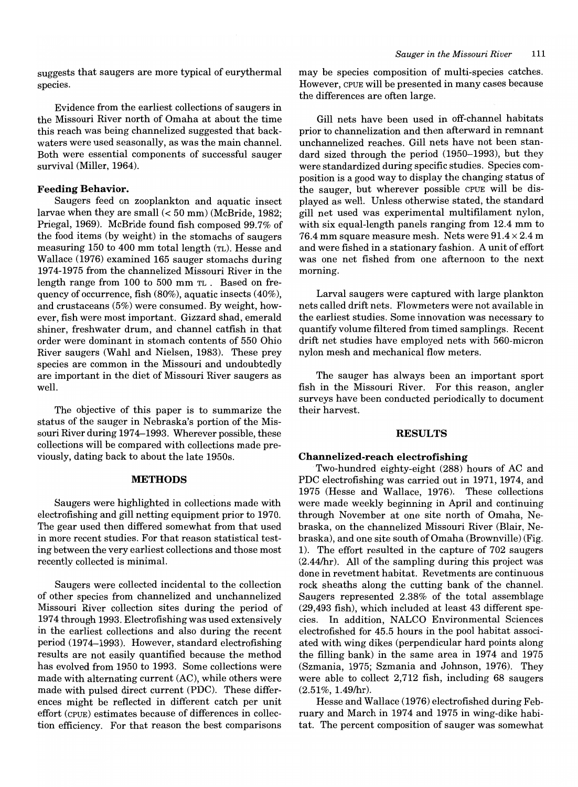suggests that saugers are more typical of eurythermal species.

Evidence from the earliest collections of saugers in the Missouri River north of Omaha at about the time this reach was being channelized suggested that backwaters were used seasonally, as was the main channel. Both were essential components of successful sauger survival (Miller, 1964).

#### **Feeding Behavior.**

Saugers feed on zooplankton and aquatic insect larvae when they are small  $( $50 \text{ mm}$ ) (McBride, 1982;$ Priegal, 1969). McBride found fish composed 99.7% of the food items (by weight) in the stomachs of saugers measuring 150 to 400 mm total length (TL). Hesse and Wallace (1976) examined 165 sauger stomachs during 1974-1975 from the channelized Missouri River in the length range from 100 to 500 mm TL. Based on frequency of occurrence, fish (80%), aquatic insects (40%), and crustaceans (5%) were consumed. By weight, however, fish were most important. Gizzard shad, emerald shiner, freshwater drum, and channel catfish in that order were dominant in stomach contents of 550 Ohio River saugers (Wahl and Nielsen, 1983). These prey species are common in the Missouri and undoubtedly are important in the diet of Missouri River saugers as well.

The objective of this paper is to summarize the status of the sauger in Nebraska's portion of the Missouri River during 1974-1993. Wherever possible, these collections will be compared with collections made previously, dating back to about the late 1950s.

#### **METHODS**

Saugers were highlighted in collections made with electrofishing and gill netting equipment prior to 1970. The gear used then differed somewhat from that used in more recent studies. For that reason statistical testing between the very earliest collections and those most recently collected is minimal.

Saugers were collected incidental to the collection of other species from channelized and unchannelized Missouri River collection sites during the period of 1974 through 1993. Electrofishing was used extensively in the earliest collections and also during the recent period (1974-1993). However, standard electrofishing results are not easily quantified because the method has evolved from 1950 to 1993. Some collections were made with alternating current (AC), while others were made with pulsed direct current (PDC). These differences might be reflected in different catch per unit effort (CPUE) estimates because of differences in collection efficiency. For that reason the best comparisons may be species composition of multi-species catches. However, CPUE will be presented in many cases because the differences are often large.

Gill nets have been used in off-channel habitats prior to channelization and then afterward in remnant unchannelized reaches. Gill nets have not been standard sized through the period (1950-1993), but they were standardized during specific studies. Species composition is a good way to display the changing status of the sauger, but wherever possible CPUE will be displayed as well. Unless otherwise stated, the standard gill net used was experimental multifilament nylon, with six equal-length panels ranging from 12.4 mm to 76.4 mm square measure mesh. Nets were  $91.4 \times 2.4$  m and were fished in a stationary fashion. A unit of effort was one net fished from one afternoon to the next morning.

Larval saugers were captured with large plankton nets called drift nets. Flowmeters were not available in the earliest studies. Some innovation was necessary to quantify volume filtered from timed samplings. Recent drift net studies have employed nets with 560-micron nylon mesh and mechanical flow meters.

The sauger has always been an important sport fish in the Missouri River. For this reason, angler surveys have been conducted periodically to document their harvest.

#### **RESULTS**

#### **Channelized-reach electrofishing**

Two-hundred eighty-eight (288) hours of AC and PDC electrofishing was carried out in 1971, 1974, and 1975 (Hesse and Wallace, 1976). These collections were made weekly beginning in April and continuing through November at one site north of Omaha, Nebraska, on the channelized Missouri River (Blair, Nebraska), and one site south of Omaha (Brownville) (Fig. 1). The effort resulted in the capture of 702 saugers  $(2.44/hr)$ . All of the sampling during this project was done in revetment habitat. Revetments are continuous rock sheaths along the cutting bank of the channel. Saugers represented 2.38% of the total assemblage (29,493 fish), which included at least 43 different species. In addition, NALCO Environmental Sciences electrofished for 45.5 hours in the pool habitat associated with wing dikes (perpendicular hard points along the filling bank) in the same area in 1974 and 1975 (Szmania, 1975; Szmania and Johnson, 1976). They were able to collect 2,712 fish, including 68 saugers  $(2.51\%, 1.49/hr).$ 

Hesse and Wallace (1976) electrofished during February and March in 1974 and 1975 in wing-dike habitat. The percent composition of sauger was somewhat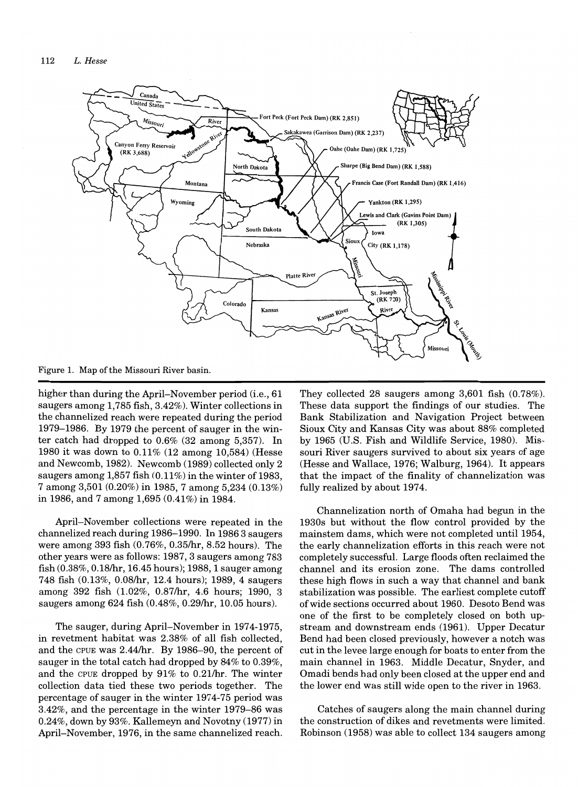

Figure 1. Map of the Missouri River basin.

higher than during the April-November period (i.e., 61 saugers among 1,785 fish, 3.42%). Winter collections in the channelized reach were repeated during the period 1979-1986. By 1979 the percent of sauger in the winter catch had dropped to 0.6% (32 among 5,357). In 1980 it was down to 0.11% (12 among 10,584) (Hesse and Newcomb, 1982). Newcomb (1989) collected only 2 saugers among  $1,857$  fish  $(0.11\%)$  in the winter of 1983, 7 among 3,501 (0.20%) in 1985, 7 among 5,234 (0.13%) in 1986, and 7 among  $1,695(0.41\%)$  in 1984.

April-November collections were repeated in the channelized reach during 1986-1990. In 19863 saugers were among 393 fish (0.76%, 0.35/hr, 8.52 hours). The other years were as follows: 1987, 3 saugers among 783 fish (0.38%, 0.18/hr, 16.45 hours); 1988, 1 sauger among 748 fish (0.13%, 0.08/hr, 12.4 hours); 1989, 4 saugers among 392 fish (1.02%, 0.87/hr, 4.6 hours; 1990, 3 saugers among 624 fish (0.48%, 0.29/hr, 10.05 hours).

The sauger, during April-November in 1974-1975, in revetment habitat was 2.38% of all fish collected, and the CPUE was 2.44/hr. By 1986-90, the percent of sauger in the total catch had dropped by 84% to 0.39%, and the CPUE dropped by  $91\%$  to 0.21/hr. The winter collection data tied these two periods together. The percentage of sauger in the winter 1974-75 period was 3.42%, and the percentage in the winter 1979-86 was 0.24%, down by 93%. Kallemeyn and Novotny (1977) in April-November, 1976, in the same channelized reach.

They collected 28 saugers among 3,601 fish (0.78%). These data support the findings of our studies. The Bank Stabilization and Navigation Project between Sioux City and Kansas City was about 88% completed by 1965 (U.s. Fish and Wildlife Service, 1980). Missouri River saugers survived to about six years of age (Hesse and Wallace, 1976; Walburg, 1964). It appears that the impact of the finality of channelization was fully realized by about 1974.

Channelization north of Omaha had begun in the 1930s but without the flow control provided by the mainstem dams, which were not completed until 1954, the early channelization efforts in this reach were not completely successful. Large floods often reclaimed the channel and its erosion zone. The dams controlled these high flows in such a way that channel and bank stabilization was possible. The earliest complete cutoff of wide sections occurred about 1960. Desoto Bend was one of the first to be completely closed on both upstream and downstream ends (1961). Upper Decatur Bend had been closed previously, however a notch was cut in the levee large enough for boats to enter from the main channel in 1963. Middle Decatur, Snyder, and Omadi bends had only been closed at the upper end and the lower end was still wide open to the river in 1963.

Catches of saugers along the main channel during the construction of dikes and revetments were limited. Robinson (1958) was able to collect 134 saugers among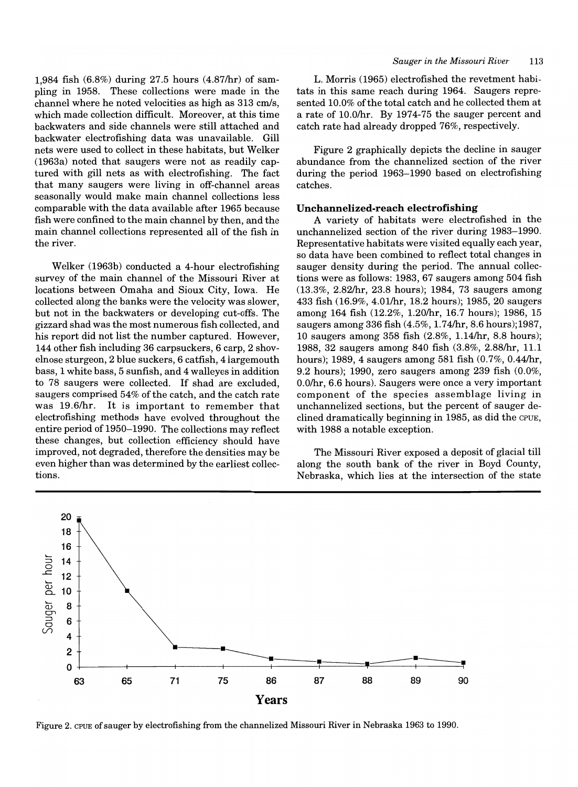1,984 fish (6.8%) during 27.5 hours (4.87/hr) of sampling in 1958. These collections were made in the channel where he noted velocities as high as 313 cm/s, which made collection difficult. Moreover, at this time backwaters and side channels were still attached and backwater electrofishing data was unavailable. Gill nets were used to collect in these habitats, but Welker (1963a) noted that saugers were not as readily captured with gill nets as with electrofishing. The fact that many saugers were living in off-channel areas seasonally would make main channel collections less comparable with the data available after 1965 because fish were confined to the main channel by then, and the main channel collections represented all of the fish in the river.

Welker (1963b) conducted a 4-hour electrofishing survey of the main channel of the Missouri River at locations between Omaha and Sioux City, Iowa. He collected along the banks were the velocity was slower, but not in the backwaters or developing cut-offs. The gizzard shad was the most numerous fish collected, and his report did not list the number captured. However, 144 other fish including 36 carpsuckers, 6 carp, 2 shovelnose sturgeon, 2 blue suckers, 6 catfish, 4 largemouth bass, 1 white bass, 5 sunfish, and 4 walleyes in addition to 78 saugers were collected. If shad are excluded, saugers comprised 54% of the catch, and the catch rate was 19.6/hr. It is important to remember that electrofishing methods have evolved throughout the entire period of 1950-1990. The collections may reflect these changes, but collection efficiency should have improved, not degraded, therefore the densities may be even higher than was determined by the earliest collections.

#### *Sauger in the Missouri River 113*

L. Morris (1965) electrofished the revetment habitats in this same reach during 1964. Saugers represented 10.0% of the total catch and he collected them at a rate of 10.0/hr. By 1974-75 the sauger percent and catch rate had already dropped 76%, respectively.

Figure 2 graphically depicts the decline in sauger abundance from the channelized section of the river during the period 1963-1990 based on electrofishing catches.

# Unchannelized-reach electrofishing

A variety of habitats were electrofished in the unchannelized section of the river during 1983-1990. Representative habitats were visited equally each year, so data have been combined to reflect total changes in sauger density during the period. The annual collections were as follows: 1983, 67 saugers among 504 fish (13.3%, 2.82lhr, 23.8 hours); 1984, 73 saugers among 433 fish (16.9%, 4.01lhr, 18.2 hours); 1985, 20 saugers among 164 fish (12.2%, 1.20/hr, 16.7 hours); 1986, 15 saugers among 336 fish (4.5%, 1.74/hr, 8.6 hours);1987, 10 saugers among 358 fish (2.8%, 1. 14lhr, 8.8 hours); 1988, 32 saugers among 840 fish (3.8%, 2.88lhr, 11.1 hours); 1989, 4 saugers among 581 fish  $(0.7\%, 0.44/\text{hr})$ , 9.2 hours); 1990, zero saugers among 239 fish (0.0%, O.Olhr, 6.6 hours). Saugers were once a very important component of the species assemblage living in unchannelized sections, but the percent of sauger declined dramatically beginning in 1985, as did the CPUE, with 1988 a notable exception.

The Missouri River exposed a deposit of glacial till along the south bank of the river in Boyd County, Nebraska, which lies at the intersection of the state



Figure 2. CPUE of sauger by electrofishing from the channelized Missouri River in Nebraska 1963 to 1990.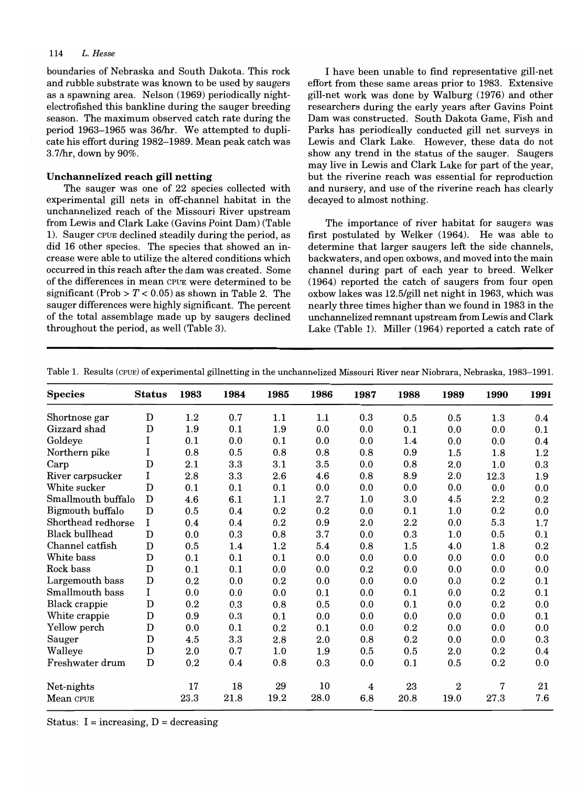#### *114 L. Hesse*

boundaries of Nebraska and South Dakota. This rock and rubble substrate was known to be used by saugers as a spawning area. Nelson (1969) periodically nightelectrofished this bankline during the sauger breeding season. The maximum observed catch rate during the period 1963-1965 was 36/hr. We attempted to duplicate his effort during 1982-1989. Mean peak catch was 3.7lhr, down by 90%.

# **Unchannelized reach gill netting**

The sauger was one of 22 species collected with experimental gill nets in off-channel habitat in the unchannelized reach of the Missouri River upstream from Lewis and Clark Lake (Gavins Point Dam) (Table 1). Sauger CPUE declined steadily during the period, as did 16 other species. The species that showed an increase were able to utilize the altered conditions which occurred in this reach after the dam was created. Some of the differences in mean CPUE were determined to be significant (Prob  $> T < 0.05$ ) as shown in Table 2. The sauger differences were highly significant. The percent of the total assemblage made up by saugers declined throughout the period, as well (Table 3).

I have been unable to find representative gill-net effort from these same areas prior to 1983. Extensive gill-net work was done by Walburg (1976) and other researchers during the early years after Gavins Point Dam was constructed. South Dakota Game, Fish and Parks has periodically conducted gill net surveys in Lewis and Clark Lake. However, these data do not show any trend in the status of the sauger. Saugers may live in Lewis and Clark Lake for part of the year, but the riverine reach was essential for reproduction and nursery, and use of the riverine reach has clearly decayed to almost nothing.

The importance of river habitat for saugers was first postulated by Welker (1964). He was able to determine that larger saugers left the side channels, backwaters, and open oxbows, and moved into the main channel during part of each year to breed. Welker (1964) reported the catch of saugers from four open oxbow lakes was 12.5/gill net night in 1963, which was nearly three times higher than we found in 1983 in the unchannelized remnant upstream from Lewis and Clark Lake (Table 1). Miller (1964) reported a catch rate of

| <b>Species</b>        | <b>Status</b> | 1983    | 1984    | 1985 | 1986    | 1987    | 1988    | 1989             | 1990    | 1991    |
|-----------------------|---------------|---------|---------|------|---------|---------|---------|------------------|---------|---------|
|                       |               |         |         |      |         |         |         |                  |         |         |
| Shortnose gar         | $\mathbf D$   | $1.2\,$ | 0.7     | 1.1  | 1.1     | 0.3     | 0.5     | 0.5              | 1.3     | 0.4     |
| Gizzard shad          | D             | 1.9     | 0.1     | 1.9  | 0.0     | 0.0     | 0.1     | 0.0              | 0.0     | 0.1     |
| Goldeye               | I             | 0.1     | 0.0     | 0.1  | 0.0     | 0.0     | 1.4     | 0.0              | 0.0     | 0.4     |
| Northern pike         | I             | 0.8     | $0.5\,$ | 0.8  | 0.8     | $0.8\,$ | 0.9     | $1.5\,$          | 1.8     | $1.2\,$ |
| Carp                  | $\mathbf D$   | 2.1     | 3.3     | 3.1  | $3.5\,$ | 0.0     | 0.8     | $2.0\,$          | 1.0     | 0.3     |
| River carpsucker      | I             | 2.8     | 3.3     | 2.6  | 4.6     | 0.8     | 8.9     | $2.0\,$          | 12.3    | 1.9     |
| White sucker          | $\mathbf D$   | 0.1     | 0.1     | 0.1  | 0.0     | 0.0     | 0.0     | 0.0              | 0.0     | 0.0     |
| Smallmouth buffalo    | $\mathbf D$   | 4.6     | 6.1     | 1.1  | 2.7     | 1.0     | 3.0     | 4.5              | 2.2     | 0.2     |
| Bigmouth buffalo      | $\mathbf D$   | 0.5     | 0.4     | 0.2  | 0.2     | 0.0     | 0.1     | $1.0\,$          | 0.2     | 0.0     |
| Shorthead redhorse    | I             | 0.4     | 0.4     | 0.2  | 0.9     | 2.0     | $2.2\,$ | 0.0              | 5.3     | 1.7     |
| <b>Black bullhead</b> | $\mathbf D$   | 0.0     | 0.3     | 0.8  | 3.7     | 0.0     | 0.3     | 1.0              | 0.5     | 0.1     |
| Channel catfish       | $\mathbf D$   | 0.5     | 1.4     | 1.2  | 5.4     | 0.8     | $1.5\,$ | 4.0              | 1.8     | 0.2     |
| White bass            | $\mathbf D$   | 0.1     | 0.1     | 0.1  | 0.0     | 0.0     | 0.0     | 0.0              | 0.0     | 0.0     |
| Rock bass             | $\mathbf D$   | 0.1     | 0.1     | 0.0  | 0.0     | 0.2     | 0.0     | 0.0              | 0.0     | 0.0     |
| Largemouth bass       | D             | 0.2     | 0.0     | 0.2  | 0.0     | 0.0     | 0.0     | 0.0              | 0.2     | 0.1     |
| Smallmouth bass       | I             | 0.0     | 0.0     | 0.0  | 0.1     | 0.0     | 0.1     | 0.0              | 0.2     | 0.1     |
| Black crappie         | $\mathbf D$   | 0.2     | 0.3     | 0.8  | 0.5     | 0.0     | 0.1     | 0.0              | 0.2     | 0.0     |
| White crappie         | $\mathbf D$   | 0.9     | 0.3     | 0.1  | 0.0     | 0.0     | 0.0     | 0.0              | 0.0     | 0.1     |
| Yellow perch          | D             | 0.0     | 0.1     | 0.2  | 0.1     | 0.0     | $0.2\,$ | 0.0              | 0.0     | 0.0     |
| Sauger                | D             | 4.5     | 3.3     | 2.8  | 2.0     | 0.8     | 0.2     | 0.0              | 0.0     | 0.3     |
| Walleye               | $\mathbf D$   | 2.0     | 0.7     | 1.0  | 1.9     | 0.5     | $0.5\,$ | $2.0\,$          | 0.2     | 0.4     |
| Freshwater drum       | $\mathbf D$   | 0.2     | 0.4     | 0.8  | 0.3     | 0.0     | 0.1     | 0.5              | $0.2\,$ | 0.0     |
| Net-nights            |               | 17      | 18      | 29   | 10      | 4       | 23      | $\boldsymbol{2}$ | 7       | 21      |
| Mean CPUE             |               | 23.3    | 21.8    | 19.2 | 28.0    | 6.8     | 20.8    | 19.0             | 27.3    | 7.6     |

Table 1. Results (CPUE) of experimental gillnetting in the unchannelized Missouri River near Niobrara, Nebraska, 1983-1991.

Status:  $I = increasing$ ,  $D = decreasing$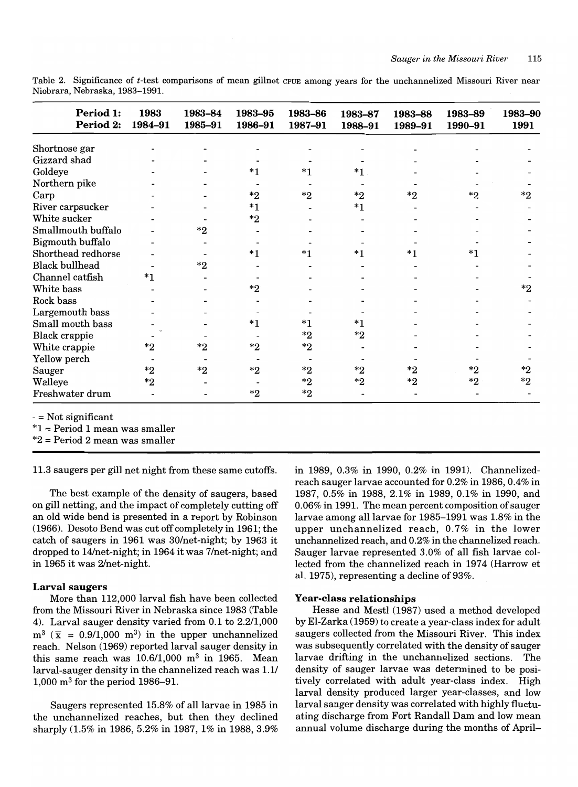Table 2. Significance of *t-test* comparisons of mean gillnet CPUE among years for the unchannelized Missouri River near Niobrara, Nebraska, 1983-1991.

| Period 1:<br>Period 2: | 1983<br>1984-91 | 1983-84<br>1985-91 | 1983-95<br>1986-91 | 1983-86<br>1987-91 | 1983-87<br>1988-91 | 1983-88<br>1989-91 | 1983-89<br>1990-91 | 1983-90<br>1991 |
|------------------------|-----------------|--------------------|--------------------|--------------------|--------------------|--------------------|--------------------|-----------------|
| Shortnose gar          |                 |                    |                    |                    |                    |                    |                    |                 |
| Gizzard shad           |                 |                    |                    |                    |                    |                    |                    |                 |
| Goldeye                |                 |                    | *1                 | *1                 | $*_{1}$            |                    |                    |                 |
| Northern pike          |                 |                    |                    |                    |                    |                    |                    |                 |
| Carp                   |                 |                    | $^*2$              | $*_{2}$            | $^*2$              | $*$ ?              | $*_{2}$            | *2              |
| River carpsucker       |                 |                    | $*1$               |                    | $*1$               |                    |                    |                 |
| White sucker           |                 |                    | $^*2$              |                    |                    |                    |                    |                 |
| Smallmouth buffalo     |                 | $^*2$              |                    |                    |                    |                    |                    |                 |
| Bigmouth buffalo       |                 |                    |                    |                    |                    |                    |                    |                 |
| Shorthead redhorse     |                 |                    | $*1$               | *1                 | *1                 | $*1$               | $*1$               |                 |
| <b>Black bullhead</b>  |                 | $^*2$              |                    |                    |                    |                    |                    |                 |
| Channel catfish        | $*_{1}$         |                    |                    |                    |                    |                    |                    |                 |
| White bass             |                 |                    | $*2$               |                    |                    |                    |                    | $*$ ?           |
| Rock bass              |                 |                    |                    |                    |                    |                    |                    |                 |
| Largemouth bass        |                 |                    |                    |                    |                    |                    |                    |                 |
| Small mouth bass       |                 |                    | $^{\ast}1$         | $^{\ast}1$         | $*1$               |                    |                    |                 |
| <b>Black crappie</b>   |                 |                    |                    | $*_{2}$            | $^{\ast}2$         |                    |                    |                 |
| White crappie          | $*2$            | $^*2$              | $*2$               | $^*2$              |                    |                    |                    |                 |
| Yellow perch           |                 |                    |                    |                    |                    |                    |                    |                 |
| Sauger                 | $^*2$           | $^*2$              | $*2$               | $^*2$              | $*2$               | $^{\ast}2$         | $^*2$              | $*_{2}$         |
| Walleye                | $*_{2}$         |                    |                    | $^*2$              | $*2$               | $^*2$              | $^*2$              | $*_{2}$         |
| Freshwater drum        |                 |                    | $^{\ast2}$         | ${}^*2$            |                    |                    |                    |                 |

-= Not significant

\*1 = Period 1 mean was smaller

\*2 = Period 2 mean was smaller

11.3 saugers per gill net night from these same cutoffs.

The best example of the density of saugers, based on gill netting, and the impact of completely cutting off an old wide bend is presented in a report by Robinson (1966). Desoto Bend was cut off completely in 1961; the catch of saugers in 1961 was 30/net-night; by 1963 it dropped to 14/net-night; in 1964 it was 7/net-night; and in 1965 it was 2/net-night.

#### **Larval saugers**

More than 112,000 larval fish have been collected from the Missouri River in Nebraska since 1983 (Table 4). Larval sauger density varied from 0.1 to 2.2/1,000  $m^3$  ( $\bar{x}$  = 0.9/1,000 m<sup>3</sup>) in the upper unchannelized reach. Nelson (1969) reported larval sauger density in this same reach was  $10.6/1,000$  m<sup>3</sup> in 1965. Mean larval-sauger density in the channelized reach was 1.1/ 1,000 m3 for the period 1986-91.

Saugers represented 15.8% of all larvae in 1985 in the unchannelized reaches, but then they declined sharply (1.5% in 1986, 5.2% in 1987, 1% in 1988, 3.9% in 1989, 0.3% in 1990, 0.2% in 1991). Channelizedreach sauger larvae accounted for 0.2% in 1986, 0.4% in 1987, 0.5% in 1988, 2.1% in 1989, 0.1% in 1990, and 0.06% in 1991. The mean percent composition of sauger larvae among all larvae for 1985-1991 was 1.8% in the upper unchannelized reach, 0.7% in the lower unchannelized reach, and 0.2% in the channelized reach. Sauger larvae represented 3.0% of all fish larvae collected from the channelized reach in 1974 (Harrow et al. 1975), representing a decline of  $93\%$ .

#### **Year-class relationships**

Hesse and Mestl (1987) used a method developed by EI-Zarka (1959) to create a year-class index for adult saugers collected from the Missouri River. This index was subsequently correlated with the density of sauger larvae drifting in the unchannelized sections. The density of sauger larvae was determined to be positively correlated with adult year-class index. High larval density produced larger year-classes, and low larval sauger density was correlated with highly fluctuating discharge from Fort Randall Dam and low mean annual volume discharge during the months of April-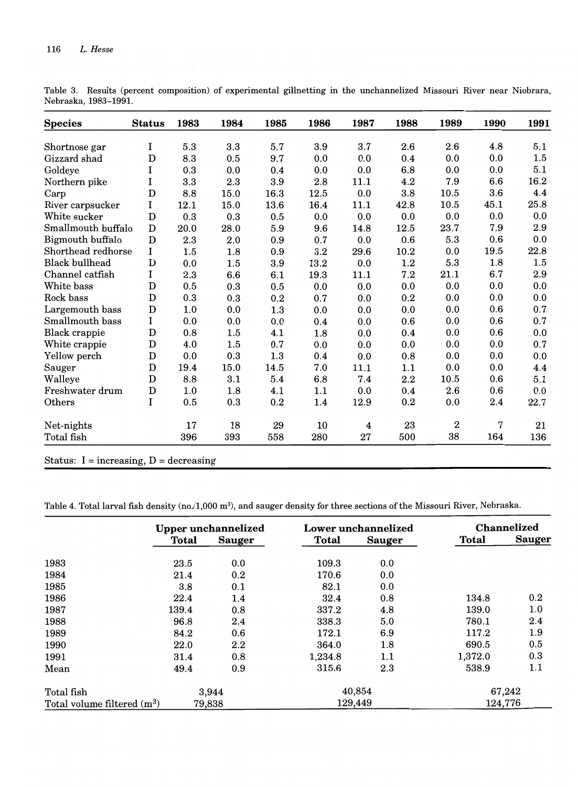| <b>Species</b>        | <b>Status</b> | 1983 | 1984 | 1985 | 1986 | 1987             | 1988    | 1989           | 1990 | 1991 |
|-----------------------|---------------|------|------|------|------|------------------|---------|----------------|------|------|
| Shortnose gar         | I             | 5.3  | 3.3  | 5.7  | 3.9  | 3.7              | 2.6     | 2.6            | 4.8  | 5.1  |
| Gizzard shad          | $\mathbf D$   | 8.3  | 0.5  | 9.7  | 0.0  | 0.0              | 0.4     | 0.0            | 0.0  | 1.5  |
| Goldeye               | I             | 0.3  | 0.0  | 0.4  | 0.0  | 0.0              | 6.8     | 0.0            | 0.0  | 5.1  |
| Northern pike         | I             | 3.3  | 2.3  | 3.9  | 2.8  | 11.1             | 4.2     | 7.9            | 6.6  | 16.2 |
| Carp                  | $\mathbf D$   | 8.8  | 15.0 | 16.3 | 12.5 | 0.0              | 3.8     | 10.5           | 3.6  | 4.4  |
| River carpsucker      | I             | 12.1 | 15.0 | 13.6 | 16.4 | 11.1             | 42.8    | 10.5           | 45.1 | 25.8 |
| White sucker          | $\mathbf D$   | 0.3  | 0.3  | 0.5  | 0.0  | 0.0              | 0.0     | 0.0            | 0.0  | 0.0  |
| Smallmouth buffalo    | $\mathbf D$   | 20.0 | 28.0 | 5.9  | 9.6  | 14.8             | 12.5    | 23.7           | 7.9  | 2.9  |
| Bigmouth buffalo      | $\mathbf D$   | 2.3  | 2.0  | 0.9  | 0.7  | 0.0              | 0.6     | 5.3            | 0.6  | 0.0  |
| Shorthead redhorse    | I             | 1.5  | 1.8  | 0.9  | 3.2  | 29.6             | 10.2    | 0.0            | 19.5 | 22.8 |
| <b>Black bullhead</b> | D             | 0.0  | 1.5  | 3.9  | 13.2 | 0.0              | $1.2\,$ | 5.3            | 1.8  | 1.5  |
| Channel catfish       | 1             | 2.3  | 6.6  | 6.1  | 19.3 | 11.1             | 7.2     | 21.1           | 6.7  | 2.9  |
| White bass            | $\mathbf D$   | 0.5  | 0.3  | 0.5  | 0.0  | 0.0              | 0.0     | 0.0            | 0.0  | 0.0  |
| Rock bass             | $\mathbf D$   | 0.3  | 0.3  | 0.2  | 0.7  | 0.0              | 0.2     | 0.0            | 0.0  | 0.0  |
| Largemouth bass       | $\mathbf D$   | 1.0  | 0.0  | 1.3  | 0.0  | 0.0              | 0.0     | 0.0            | 0.6  | 0.7  |
| Smallmouth bass       | I             | 0.0  | 0.0  | 0.0  | 0.4  | 0.0              | 0.6     | 0.0            | 0.6  | 0.7  |
| Black crappie         | $\mathbf D$   | 0.8  | 1.5  | 4.1  | 1.8  | 0.0              | 0.4     | 0.0            | 0.6  | 0.0  |
| White crappie         | $\mathbf D$   | 4.0  | 1.5  | 0.7  | 0.0  | 0.0              | 0.0     | 0.0            | 0.0  | 0.7  |
| Yellow perch          | D             | 0.0  | 0.3  | 1.3  | 0.4  | 0.0              | 0.8     | 0.0            | 0.0  | 0.0  |
| Sauger                | D             | 19.4 | 15.0 | 14.5 | 7.0  | 11.1             | 1.1     | 0.0            | 0.0  | 4.4  |
| Walleye               | $\mathbf D$   | 8.8  | 3.1  | 5.4  | 6.8  | 7.4              | 2.2     | 10.5           | 0.6  | 5.1  |
| Freshwater drum       | $\mathbf D$   | 1.0  | 1.8  | 4.1  | 1.1  | 0.0              | 0.4     | 2.6            | 0.6  | 0.0  |
| Others                | I             | 0.5  | 0.3  | 0.2  | 1.4  | 12.9             | 0.2     | 0.0            | 2.4  | 22.7 |
| Net-nights            |               | 17   | 18   | 29   | 10   | $\boldsymbol{4}$ | 23      | $\overline{2}$ | 7    | 21   |
| Total fish            |               | 396  | 393  | 558  | 280  | 27               | 500     | 38             | 164  | 136  |

Table 3. Results (percent composition) of experimental gillnetting in the unchannelized Missouri River near Niobrara, Nebraska, 1983-1991.

Status:  $I = increasing$ ,  $D = decreasing$ 

Table 4. Total larval fish density (no./1,000 m<sup>3</sup>), and sauger density for three sections of the Missouri River, Nebraska.

|                               |       | <b>Upper unchannelized</b> |         | Lower unchannelized | <b>Channelized</b> |               |
|-------------------------------|-------|----------------------------|---------|---------------------|--------------------|---------------|
|                               | Total | <b>Sauger</b>              | Total   | <b>Sauger</b>       | Total              | <b>Sauger</b> |
| 1983                          | 23.5  | 0.0                        | 109.3   | 0.0                 |                    |               |
| 1984                          | 21.4  | 0.2                        | 170.6   | 0.0                 |                    |               |
| 1985                          | 3.8   | 0.1                        | 82.1    | 0.0                 |                    |               |
| 1986                          | 22.4  | 1.4                        | 32.4    | 0.8                 | 134.8              | 0.2           |
| 1987                          | 139.4 | 0.8                        | 337.2   | 4.8                 | 139.0              | 1.0           |
| 1988                          | 96.8  | $2.4\,$                    | 338.3   | 5.0                 | 780.1              | $2.4\,$       |
| 1989                          | 84.2  | 0.6                        | 172.1   | 6.9                 | 117.2              | 1.9           |
| 1990                          | 22.0  | $2.2\,$                    | 364.0   | 1.8                 | 690.5              | 0.5           |
| 1991                          | 31.4  | 0.8                        | 1,234.8 | 1.1                 | 1,372.0            | 0.3           |
| Mean                          | 49.4  | 0.9                        | 315.6   | $2.3\,$             | 538.9              | 1.1           |
| Total fish                    |       | 3,944                      |         | 40,854              |                    | 67,242        |
| Total volume filtered $(m^3)$ |       | 79,838                     |         | 129,449             |                    | 124,776       |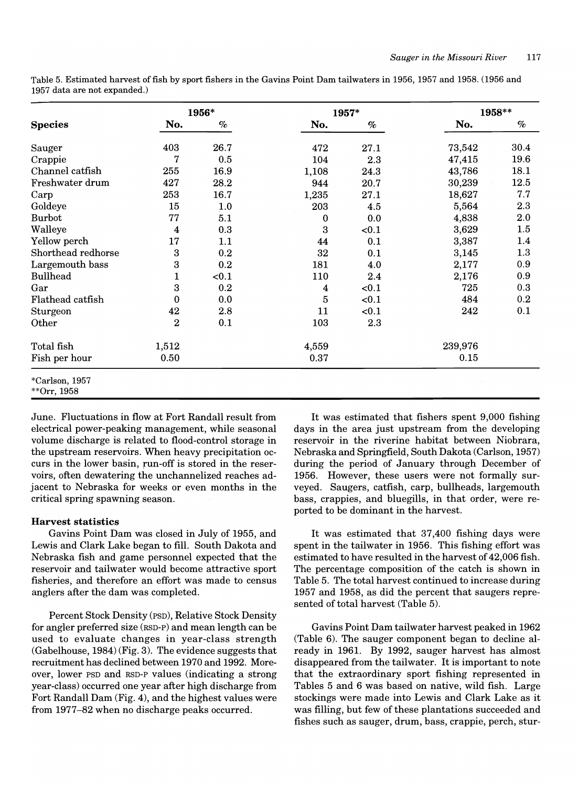|                               |                | 1956* | 1957*    |       | 1958**  |         |
|-------------------------------|----------------|-------|----------|-------|---------|---------|
| <b>Species</b>                | No.            | $\%$  | No.      | $\%$  | No.     | $\%$    |
| Sauger                        | 403            | 26.7  | 472      | 27.1  | 73,542  | 30.4    |
| Crappie                       | 7              | 0.5   | 104      | 2.3   | 47,415  | 19.6    |
| Channel catfish               | 255            | 16.9  | 1,108    | 24.3  | 43,786  | 18.1    |
| Freshwater drum               | 427            | 28.2  | 944      | 20.7  | 30,239  | 12.5    |
| Carp                          | 253            | 16.7  | 1,235    | 27.1  | 18,627  | 7.7     |
| Goldeye                       | 15             | 1.0   | 203      | 4.5   | 5,564   | 2.3     |
| <b>Burbot</b>                 | 77             | 5.1   | $\bf{0}$ | 0.0   | 4,838   | 2.0     |
| Walleye                       | 4              | 0.3   | 3        | < 0.1 | 3,629   | 1.5     |
| Yellow perch                  | 17             | 1.1   | 44       | 0.1   | 3,387   | 1.4     |
| Shorthead redhorse            | 3              | 0.2   | 32       | 0.1   | 3,145   | 1.3     |
| Largemouth bass               | 3              | 0.2   | 181      | 4.0   | 2,177   | 0.9     |
| <b>Bullhead</b>               | 1              | < 0.1 | 110      | 2.4   | 2,176   | 0.9     |
| Gar                           | 3              | 0.2   | 4        | < 0.1 | 725     | 0.3     |
| Flathead catfish              | 0              | 0.0   | 5        | < 0.1 | 484     | $0.2\,$ |
| Sturgeon                      | 42             | 2.8   | 11       | < 0.1 | 242     | 0.1     |
| Other                         | $\overline{2}$ | 0.1   | 103      | 2.3   |         |         |
| Total fish                    | 1,512          |       | 4,559    |       | 239,976 |         |
| Fish per hour                 | 0.50           |       | 0.37     |       | 0.15    |         |
| *Carlson, 1957<br>**Orr, 1958 |                |       |          |       |         |         |

Table 5. Estimated harvest offish by sport fishers in the Gavins Point Dam tailwaters in 1956, 1957 and 1958. (1956 and 1957 data are not expanded.)

June. Fluctuations in flow at Fort Randall result from electrical power-peaking management, while seasonal volume discharge is related to flood-control storage in the upstream reservoirs. When heavy precipitation occurs in the lower basin, run-off is stored in the reservoirs, often dewatering the unchannelized reaches adjacent to Nebraska for weeks or even months in the critical spring spawning season.

# Harvest statistics

Gavins Point Dam was closed in July of 1955, and Lewis and Clark Lake began to fill. South Dakota and Nebraska fish and game personnel expected that the reservoir and tailwater would become attractive sport fisheries, and therefore an effort was made to census anglers after the dam was completed.

Percent Stock Density (PSD), Relative Stock Density for angler preferred size (RSD-P) and mean length can be used to evaluate changes in year-class strength (Gabelhouse, 1984) (Fig. 3). The evidence suggests that recruitment has declined between 1970 and 1992. Moreover, lower PSD and RSD-P values (indicating a strong year-class) occurred one year after high discharge from Fort Randall Dam (Fig. 4), and the highest values were from 1977-82 when no discharge peaks occurred.

It was estimated that fishers spent 9,000 fishing days in the area just upstream from the developing reservoir in the riverine habitat between Niobrara, Nebraska and Springfield, South Dakota (Carlson, 1957) during the period of January through December of 1956. However, these users were not formally surveyed. Saugers, catfish, carp, bullheads, largemouth bass, crappies, and bluegills, in that order, were reported to be dominant in the harvest.

It was estimated that 37,400 fishing days were spent in the tailwater in 1956. This fishing effort was estimated to have resulted in the harvest of 42,006 fish. The percentage composition of the catch is shown in Table 5. The total harvest continued to increase during 1957 and 1958, as did the percent that saugers represented of total harvest (Table 5).

Gavins Point Dam tailwater harvest peaked in 1962 (Table 6). The sauger component began to decline already in 1961. By 1992, sauger harvest has almost disappeared from the tailwater. It is important to note that the extraordinary sport fishing represented in Tables 5 and 6 was based on native, wild fish. Large stockings were made into Lewis and Clark Lake as it was filling, but few of these plantations succeeded and fishes such as sauger, drum, bass, crappie, perch, stur-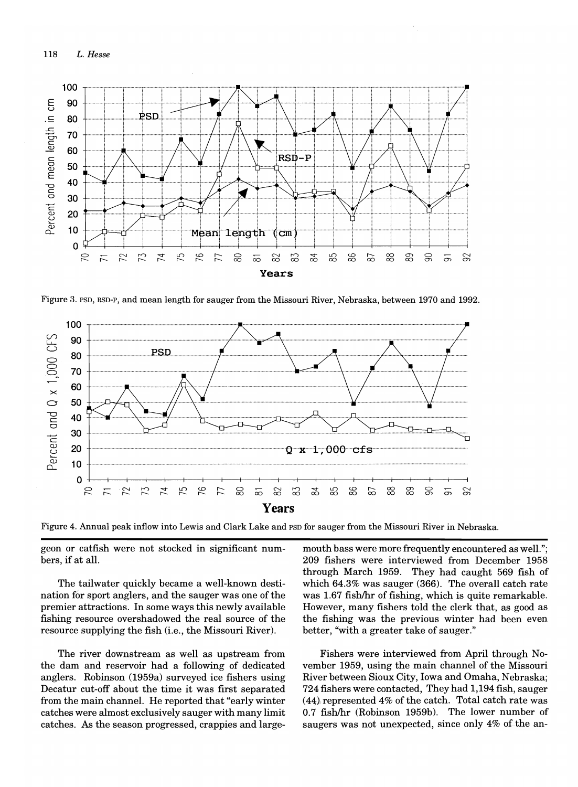

Figure 3. PSD, RSD-P, and mean length for sauger from the Missouri River, Nebraska, between 1970 and 1992.



Figure 4. Annual peak inflow into Lewis and Clark Lake and PSD for sauger from the Missouri River in Nebraska.

geon or catfish were not stocked in significant numbers, if at all.

The tailwater quickly became a well-known destination for sport anglers, and the sauger was one of the premier attractions. In some ways this newly available fishing resource overshadowed the real source of the resource supplying the fish (i.e., the Missouri River).

The river downstream as well as upstream from the dam and reservoir had a following of dedicated anglers. Robinson (1959a) surveyed ice fishers using Decatur cut-off about the time it was first separated from the main channel. He reported that "early winter catches were almost exclusively sauger with many limit catches. As the season progressed, crappies and largemouth bass were more frequently encountered as well."; 209 fishers were interviewed from December 1958 through March 1959. They had caught 569 fish of which 64.3% was sauger (366). The overall catch rate was 1.67 fish/hr of fishing, which is quite remarkable. However, many fishers told the clerk that, as good as the fishing was the previous winter had been even better, "with a greater take of sauger."

Fishers were interviewed from April through November 1959, using the main channel of the Missouri River between Sioux City, Iowa and Omaha, Nebraska; 724 fishers were contacted, They had 1,194 fish, sauger  $(44)$  represented 4% of the catch. Total catch rate was 0.7 fishlhr (Robinson 1959b). The lower number of saugers was not unexpected, since only 4% of the an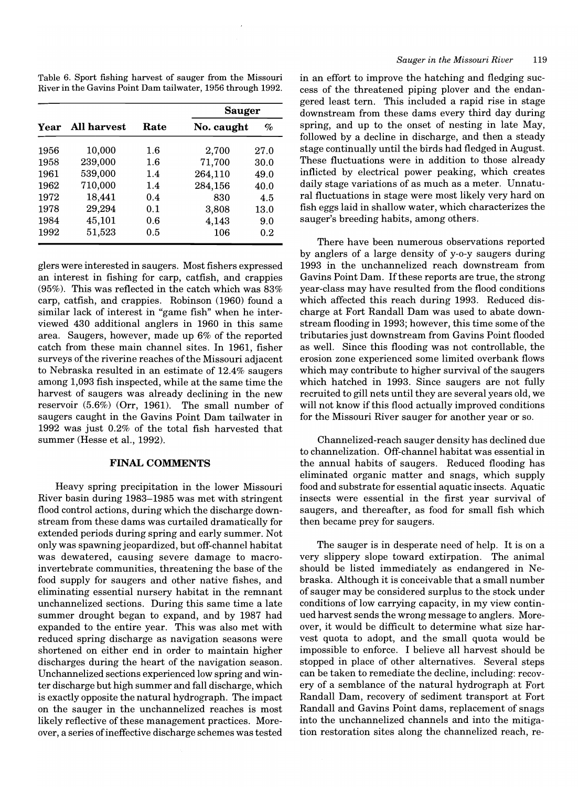Table 6. Sport fishing harvest of sauger from the Missouri River in the Gavins Point Dam tailwater, 1956 through 1992.

| Year |                    |         | <b>Sauger</b> |      |  |  |
|------|--------------------|---------|---------------|------|--|--|
|      | <b>All harvest</b> | Rate    | No. caught    | $\%$ |  |  |
| 1956 | 10,000             | $1.6\,$ | 2,700         | 27.0 |  |  |
| 1958 | 239,000            | $1.6\,$ | 71,700        | 30.0 |  |  |
| 1961 | 539,000            | 1.4     | 264,110       | 49.0 |  |  |
| 1962 | 710,000            | 1.4     | 284,156       | 40.0 |  |  |
| 1972 | 18,441             | 0.4     | 830           | 4.5  |  |  |
| 1978 | 29,294             | 0.1     | 3,808         | 13.0 |  |  |
| 1984 | 45,101             | 0.6     | 4,143         | 9.0  |  |  |
| 1992 | 51,523             | 0.5     | 106           | 0.2  |  |  |

glers were interested in saugers. Most fishers expressed an interest in fishing for carp, catfish, and crappies (95%). This was reflected in the catch which was 83% carp, catfish, and crappies. Robinson (1960) found a similar lack of interest in "game fish" when he interviewed 430 additional anglers in 1960 in this same area. Saugers, however, made up 6% of the reported catch from these main channel sites. **In** 1961, fisher surveys of the riverine reaches of the Missouri adjacent to Nebraska resulted in an estimate of 12.4% saugers among 1,093 fish inspected, while at the same time the harvest of saugers was already declining in the new reservoir (5.6%) (Orr, 1961). The small number of saugers caught in the Gavins Point Dam tailwater in 1992 was just 0.2% of the total fish harvested that summer (Hesse et aI., 1992).

# **FINAL COMMENTS**

Heavy spring precipitation in the lower Missouri River basin during 1983-1985 was met with stringent flood control actions, during which the discharge downstream from these dams was curtailed dramatically for extended periods during spring and early summer. Not only was spawning jeopardized, but off-channel habitat was dewatered, causing severe damage to macroinvertebrate communities, threatening the base of the food supply for saugers and other native fishes, and eliminating essential nursery habitat in the remnant unchannelized sections. During this same time a late summer drought began to expand, and by 1987 had expanded to the entire year. This was also met with reduced spring discharge as navigation seasons were shortened on either end in order to maintain higher discharges during the heart of the navigation season. Unchannelized sections experienced low spring and winter discharge but high summer and fall discharge, which is exactly opposite the natural hydrograph. The impact on the sauger in the unchannelized reaches is most likely reflective of these management practices. Moreover, a series of ineffective discharge schemes was tested in an effort to improve the hatching and fledging success of the threatened piping plover and the endangered least tern. This included a rapid rise in stage downstream from these dams every third day during spring, and up to the onset of nesting in late May, followed by a decline in discharge, and then a steady stage continually until the birds had fledged in August. These fluctuations were in addition to those already inflicted by electrical power peaking, which creates daily stage variations of as much as a meter. Unnatural fluctuations in stage were most likely very hard on fish eggs laid in shallow water, which characterizes the sauger's breeding habits, among others.

There have been numerous observations reported by anglers of a large density of y-o-y saugers during 1993 in the unchannelized reach downstream from Gavins Point Dam. If these reports are true, the strong year-class may have resulted from the flood conditions which affected this reach during 1993. Reduced discharge at Fort Randall Dam was used to abate downstream flooding in 1993; however, this time some of the tributaries just downstream from Gavins Point flooded as well. Since this flooding was not controllable, the erosion zone experienced some limited overbank flows which may contribute to higher survival of the saugers which hatched in 1993. Since saugers are not fully recruited to gill nets until they are several years old, we will not know if this flood actually improved conditions for the Missouri River sauger for another year or so.

Channelized-reach sauger density has declined due to channelization. Off-channel habitat was essential in the annual habits of saugers. Reduced flooding has eliminated organic matter and snags, which supply food and substrate for essential aquatic insects. Aquatic insects were essential in the first year survival of saugers, and thereafter, as food for small fish which then became prey for saugers.

The sauger is in desperate need of help. It is on a very slippery slope toward extirpation. The animal should be listed immediately as endangered in Nebraska. Although it is conceivable that a small number of sauger may be considered surplus to the stock under conditions of low carrying capacity, in my view continued harvest sends the wrong message to anglers. Moreover, it would be difficult to determine what size harvest quota to adopt, and the small quota would be impossible to enforce. I believe all harvest should be stopped in place of other alternatives. Several steps can be taken to remediate the decline, including: recovery of a semblance of the natural hydrograph at Fort Randall Dam, recovery of sediment transport at Fort Randall and Gavins Point dams, replacement of snags into the unchannelized channels and into the mitigation restoration sites along the channelized reach, re-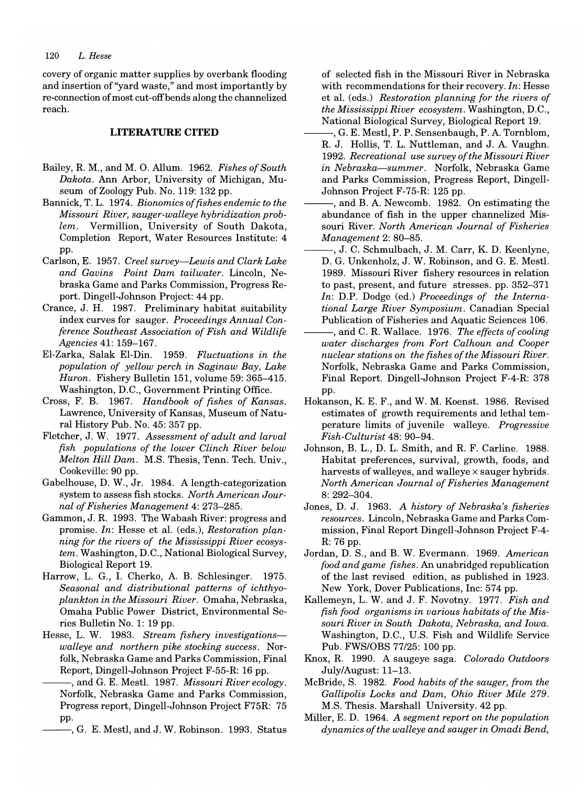#### *120 L. Hesse*

covery of organic matter supplies by overbank flooding and insertion of "yard waste," and most importantly by re-connection of most cut-off bends along the channelized reach.

# **LITERATURE CITED**

- Bailey, R. M., and M. O. Allum. 1962. *Fishes of South Dakota.* Ann Arbor, University of Michigan, Museum of Zoology Pub. No. 119: 132 pp.
- Bannick, T. L. 1974. *Bionomics offishes endemic to the Missouri River, sauger-walleye hybridization problem.* Vermillion, University of South Dakota, Completion Report, Water Resources Institute: 4 pp.
- Carlson, E. 1957. *Creel survey-Lewis and Clark Lake and Gavins Point Dam tailwater.* Lincoln, Nebraska Game and Parks Commission, Progress Report. Dingell-Johnson Project: 44 pp.
- Crance, J. H. 1987. Preliminary habitat suitability index curves for sauger. *Proceedings Annual Conference Southeast Association of Fish and Wildlife Agencies* 41: 159-167.
- EI-Zarka, Salak EI-Din. 1959. *Fluctuations in the population of yellow perch in Saginaw Bay, Lake Huron.* Fishery Bulletin 151, volume 59: 365-415. Washington, D.C., Government Printing Office.
- Cross, F. B. 1967. *Handbook of fishes of Kansas.*  Lawrence, University of Kansas, Museum of Natural History Pub. No. 45: 357 pp.
- Fletcher, J. W. 1977. *Assessment of adult and larval fish populations of the lower Clinch River below Melton Hill Dam.* M.S. Thesis, Tenn. Tech. Univ., Cookeville: 90 pp.
- Gabelhouse, D. W., Jr. 1984. A length-categorization system to assess fish stocks. *North American Journal of Fisheries Management* 4: 273-285.
- Gammon, J. R. 1993. The Wabash River: progress and promise. *In:* Hesse et al. (eds.), *Restoration planning for the rivers of the Mississippi River ecosystem.* Washington, D.C., National Biological Survey, Biological Report 19.
- Harrow, L. G., I. Cherko, A. B. Schlesinger. 1975. *Seasonal and distributional patterns of ichthyoplankton in the Missouri River.* Omaha, Nebraska, Omaha Public Power District, Environmental Series Bulletin No.1: 19 pp.
- Hesse, L. W. 1983. *Stream fishery investigationswalleye and northern pike stocking success.* Norfolk, Nebraska Game and Parks Commission, Final Report, Dingell-Johnson Project F-55-R: 16 pp.<br>
——, and G. E. Mestl. 1987. *Missouri River ecology*.
	- Norfolk, Nebraska Game and· Parks Commission, Progress report, Dingell-Johnson Project F75R: 75 pp.
		- --, G. E. Mestl, and J. W. Robinson. 1993. Status

of selected fish in the Missouri River in Nebraska with recommendations for their recovery. *In:* Hesse et al. (eds.) *Restoration planning for the rivers of the Mississippi River ecosystem.* Washington, D.C., National Biological Survey, Biological Report 19.

- $-, G, E, Mestl, P, P.$  Sensenbaugh, P. A. Tornblom, R. J. Hollis, T. L. Nuttleman, and J. A. Vaughn. *1992. Recreational use survey of the Missouri River in Nebraska-summer.* Norfolk, Nebraska Game and Parks Commission, Progress Report, Dingell-Johnson Project F-75-R: 125 pp.
- -, and B. A. Newcomb. 1982. On estimating the abundance of fish in the upper channelized Missouri River. *North American Journal of Fisheries Management* 2: 80-85.
- ., J. C. Schmulbach, J. M. Carr, K. D. Keenlyne, D. G. Unkenholz, J. W. Robinson, and G. E. Mestl. 1989. Missouri River fishery resources in relation to past, present, and future stresses. pp. 352-371 *In:* D.P. Dodge (ed.) *Proceedings of the International Large River Symposium.* Canadian Special Publication of Fisheries and Aquatic Sciences 106.
- 5, and C. R. Wallace. 1976. *The effects of cooling water discharges from Fort Calhoun and Cooper nuclear stations on the fishes of the Missouri River.*  Norfolk, Nebraska Game and Parks Commission, Final Report. Dingell-Johnson Project F-4-R: 378 pp.
- Hokanson, K. E. F., and W. M. Koenst. 1986. Revised estimates of growth requirements and lethal temperature limits of juvenile walleye. *Progressive Fish-Culturist* 48: 90-94.
- Johnson, B. L., D. L. Smith, and R. F. Carline. 1988. Habitat preferences, survival, growth, foods, and harvests of walleyes, and walleye  $\times$  sauger hybrids. *North American Journal of Fisheries Management*  8: 292-304.
- Jones, D. J. 1963. *A history of Nebraska's fisheries resources.* Lincoln, Nebraska Game and Parks Commission, Final Report Dingell-Johnson Project F-4- R: 76 pp.
- Jordan, D. S., and B. W. Evermann. 1969. *American food and game fishes.* An unabridged republication of the last revised edition, as published in 1923. New York, Dover Publications, Inc: 574 pp.
- Kallemeyn, L. W. and J. F. Novotny. 1977. *Fish and fish food organisms in various habitats of the Missouri River in South Dakota, Nebraska, and Iowa.*  Washington, D.C., U.S. Fish and Wildlife Service Pub. FWS/OBS 77/25: 100 pp.
- Knox, R. 1990. A saugeye saga. *Colorado Outdoors*  July/August: 11-13.
- McBride, S. 1982. *Food habits of the sauger, from the Gallipolis Locks and Dam, Ohio River Mile 279.*  M.S. Thesis. Marshall University. 42 pp.
- Miller, E. D. 1964. *A segment report on the population dynamics of the walleye and sauger in Omadi Bend,*